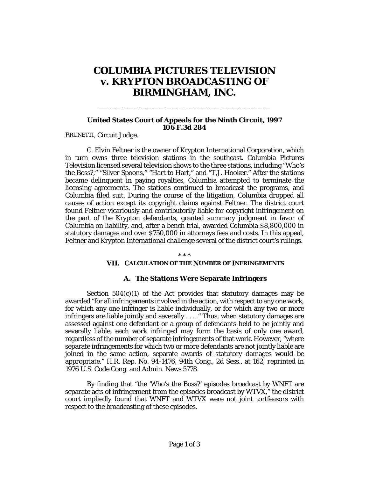# **COLUMBIA PICTURES TELEVISION v. KRYPTON BROADCASTING OF BIRMINGHAM, INC.**

### **United States Court of Appeals for the Ninth Circuit, 1997 106 F.3d 284**

\_\_\_\_\_\_\_\_\_\_\_\_\_\_\_\_\_\_\_\_\_\_\_\_\_\_\_\_

BRUNETTI, Circuit Judge.

C. Elvin Feltner is the owner of Krypton International Corporation, which in turn owns three television stations in the southeast. Columbia Pictures Television licensed several television shows to the three stations, including "Who's the Boss?," "Silver Spoons," "Hart to Hart," and "T.J. Hooker." After the stations became delinquent in paying royalties, Columbia attempted to terminate the licensing agreements. The stations continued to broadcast the programs, and Columbia filed suit. During the course of the litigation, Columbia dropped all causes of action except its copyright claims against Feltner. The district court found Feltner vicariously and contributorily liable for copyright infringement on the part of the Krypton defendants, granted summary judgment in favor of Columbia on liability, and, after a bench trial, awarded Columbia \$8,800,000 in statutory damages and over \$750,000 in attorneys fees and costs. In this appeal, Feltner and Krypton International challenge several of the district court's rulings.

\* \* \*

## **VII. CALCULATION OF THE NUMBER OF INFRINGEMENTS**

### **A. The Stations Were Separate Infringers**

Section  $504(c)(1)$  of the Act provides that statutory damages may be awarded "for all infringements involved in the action, with respect to any one work, for which any one infringer is liable individually, or for which any two or more infringers are liable jointly and severally . . . ." Thus, when statutory damages are assessed against one defendant or a group of defendants held to be jointly and severally liable, each work infringed may form the basis of only one award, regardless of the number of separate infringements of that work. However, "where separate infringements for which two or more defendants are not jointly liable are joined in the same action, separate awards of statutory damages would be appropriate." H.R. Rep. No. 94-1476, 94th Cong., 2d Sess., at 162, *reprinted in* 1976 U.S. Code Cong. and Admin. News 5778.

By finding that "the 'Who's the Boss?' episodes broadcast by WNFT are separate acts of infringement from the episodes broadcast by WTVX," the district court impliedly found that WNFT and WTVX were not joint tortfeasors with respect to the broadcasting of these episodes.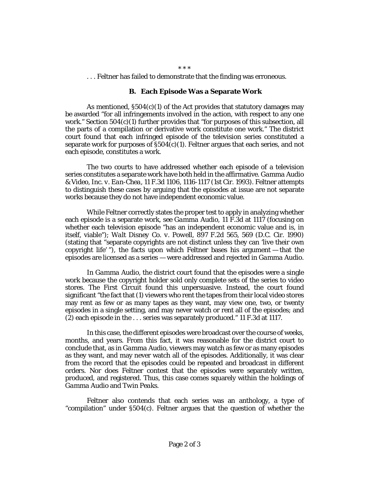#### \* \* \*

. . . Feltner has failed to demonstrate that the finding was erroneous.

### **B. Each Episode Was a Separate Work**

As mentioned,  $\S504(c)(1)$  of the Act provides that statutory damages may be awarded "for all infringements involved in the action, with respect to any one work." Section  $504(c)(1)$  further provides that "for purposes of this subsection, all the parts of a compilation or derivative work constitute one work." The district court found that each infringed episode of the television series constituted a separate work for purposes of  $\S504(c)(1)$ . Feltner argues that each series, and not each episode, constitutes a work.

The two courts to have addressed whether each episode of a television series constitutes a separate work have both held in the affirmative. *Gamma Audio & Video, Inc. v. Ean-Chea*, 11 F.3d 1106, 1116-1117 (1st Cir. 1993). Feltner attempts to distinguish these cases by arguing that the episodes at issue are not separate works because they do not have independent economic value.

While Feltner correctly states the proper test to apply in analyzing whether each episode is a separate work, *see Gamma Audio*, 11 F.3d at 1117 (focusing on whether each television episode "has an independent economic value and is, in itself, viable"); *Walt Disney Co. v. Powell*, 897 F.2d 565, 569 (D.C. Cir. 1990) (stating that "separate copyrights are not distinct unless they can 'live their own copyright life' "), the facts upon which Feltner bases his argument — that the episodes are licensed as a series — were addressed and rejected in *Gamma Audio.*

In *Gamma Audio*, the district court found that the episodes were a single work because the copyright holder sold only complete sets of the series to video stores. The First Circuit found this unpersuasive. Instead, the court found significant "the fact that (1) viewers who rent the tapes from their local video stores may rent as few or as many tapes as they want, may view one, two, or twenty episodes in a single setting, and may never watch or rent all of the episodes; and (2) each episode in the . . . series was separately produced." 11 F.3d at 1117.

In this case, the different episodes were broadcast over the course of weeks, months, and years. From this fact, it was reasonable for the district court to conclude that, as in *Gamma Audio*, viewers may watch as few or as many episodes as they want, and may never watch all of the episodes. Additionally, it was clear from the record that the episodes could be repeated and broadcast in different orders. Nor does Feltner contest that the episodes were separately written, produced, and registered. Thus, this case comes squarely within the holdings of *Gamma Audio* and *Twin Peaks.*

Feltner also contends that each series was an anthology, a type of "compilation" under §504(c). Feltner argues that the question of whether the